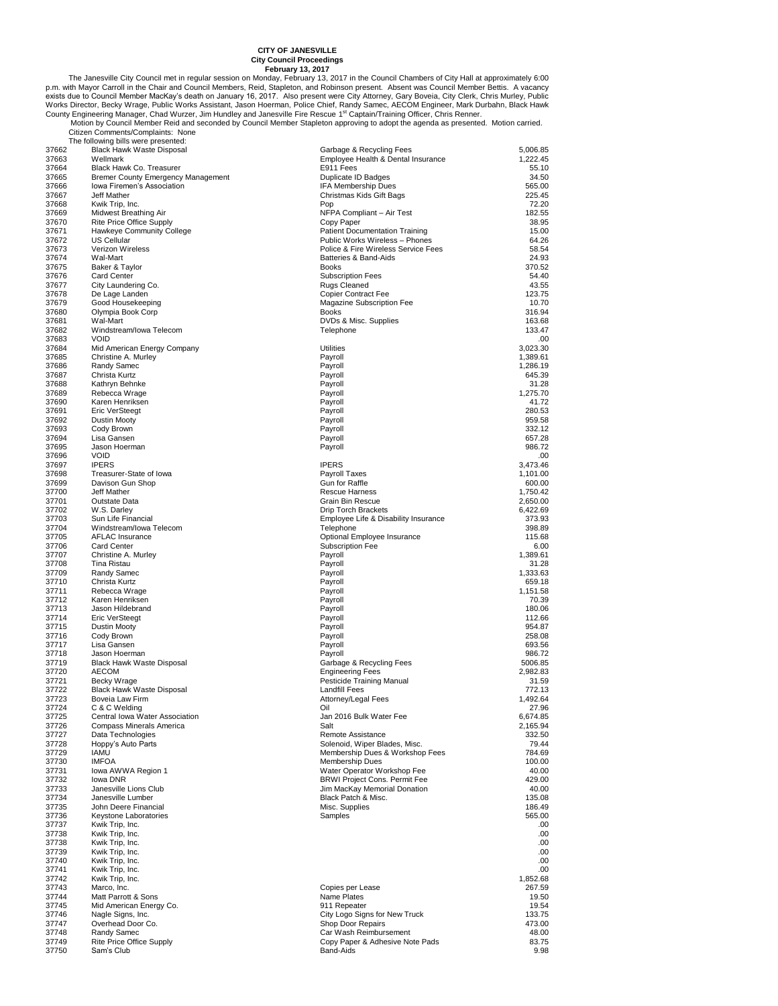City Council met in regular session on Monday, February 13, 2017<br>
Phimage City Council Proceedings<br>
Phimage February 13, 2017<br>
Phimage February 13, 2017<br>
Phimage February 13, 2017<br>
February 13, 2017<br>
February 13, 2017<br>
Mor

| 37662 | Black Hawk Waste Disposal                 | Garbage & Recycling Fees              | 5,006.85 |
|-------|-------------------------------------------|---------------------------------------|----------|
| 37663 | Wellmark                                  | Employee Health & Dental Insurance    | 1,222.45 |
| 37664 | <b>Black Hawk Co. Treasurer</b>           | E911 Fees                             | 55.10    |
| 37665 | <b>Bremer County Emergency Management</b> | Duplicate ID Badges                   | 34.50    |
| 37666 | Iowa Firemen's Association                | IFA Membership Dues                   | 565.00   |
| 37667 | Jeff Mather                               | Christmas Kids Gift Bags              | 225.45   |
| 37668 | Kwik Trip, Inc.                           | Pop                                   | 72.20    |
| 37669 | Midwest Breathing Air                     | NFPA Compliant - Air Test             | 182.55   |
| 37670 |                                           | Copy Paper                            |          |
|       | Rite Price Office Supply                  |                                       | 38.95    |
| 37671 | Hawkeye Community College                 | <b>Patient Documentation Training</b> | 15.00    |
| 37672 | <b>US Cellular</b>                        | Public Works Wireless - Phones        | 64.26    |
| 37673 | Verizon Wireless                          | Police & Fire Wireless Service Fees   | 58.54    |
| 37674 | Wal-Mart                                  | Batteries & Band-Aids                 | 24.93    |
| 37675 | Baker & Taylor                            | <b>Books</b>                          | 370.52   |
| 37676 | <b>Card Center</b>                        | <b>Subscription Fees</b>              | 54.40    |
| 37677 | City Laundering Co.                       | Rugs Cleaned                          | 43.55    |
| 37678 | De Lage Landen                            | <b>Copier Contract Fee</b>            | 123.75   |
| 37679 | Good Housekeeping                         | Magazine Subscription Fee             | 10.70    |
| 37680 | Olympia Book Corp                         | <b>Books</b>                          | 316.94   |
| 37681 | Wal-Mart                                  | DVDs & Misc. Supplies                 | 163.68   |
| 37682 | Windstream/lowa Telecom                   | Telephone                             | 133.47   |
|       | <b>VOID</b>                               |                                       |          |
| 37683 |                                           |                                       | .00      |
| 37684 | Mid American Energy Company               | <b>Utilities</b>                      | 3,023.30 |
| 37685 | Christine A. Murley                       | Payroll                               | 1,389.61 |
| 37686 | Randy Samec                               | Payroll                               | 1,286.19 |
| 37687 | Christa Kurtz                             | Payroll                               | 645.39   |
| 37688 | Kathryn Behnke                            | Payroll                               | 31.28    |
| 37689 | Rebecca Wrage                             | Payroll                               | 1,275.70 |
| 37690 | Karen Henriksen                           | Payroll                               | 41.72    |
| 37691 | <b>Eric VerSteegt</b>                     | Payroll                               | 280.53   |
| 37692 | Dustin Mooty                              | Payroll                               | 959.58   |
| 37693 | Cody Brown                                | Payroll                               | 332.12   |
| 37694 |                                           |                                       | 657.28   |
|       | Lisa Gansen                               | Payroll                               |          |
| 37695 | Jason Hoerman                             | Payroll                               | 986.72   |
| 37696 | <b>VOID</b>                               |                                       | .00      |
| 37697 | <b>IPERS</b>                              | <b>IPERS</b>                          | 3,473.46 |
| 37698 | Treasurer-State of Iowa                   | Payroll Taxes                         | 1,101.00 |
| 37699 | Davison Gun Shop                          | Gun for Raffle                        | 600.00   |
| 37700 | Jeff Mather                               | Rescue Harness                        | 1,750.42 |
| 37701 | Outstate Data                             | Grain Bin Rescue                      | 2,650.00 |
| 37702 | W.S. Darley                               | Drip Torch Brackets                   | 6,422.69 |
| 37703 | Sun Life Financial                        | Employee Life & Disability Insurance  | 373.93   |
| 37704 | Windstream/lowa Telecom                   | Telephone                             | 398.89   |
| 37705 | <b>AFLAC Insurance</b>                    | Optional Employee Insurance           | 115.68   |
|       |                                           | Subscription Fee                      |          |
| 37706 | Card Center                               |                                       | 6.00     |
| 37707 | Christine A. Murley                       | Payroll                               | 1,389.61 |
| 37708 | Tina Ristau                               | Payroll                               | 31.28    |
| 37709 | Randy Samec                               | Payroll                               | 1,333.63 |
| 37710 | Christa Kurtz                             | Payroll                               | 659.18   |
| 37711 | Rebecca Wrage                             | Payroll                               | 1,151.58 |
| 37712 | Karen Henriksen                           | Payroll                               | 70.39    |
| 37713 | Jason Hildebrand                          | Payroll                               | 180.06   |
| 37714 | Eric VerSteegt                            | Payroll                               | 112.66   |
| 37715 | <b>Dustin Mooty</b>                       | Payroll                               | 954.87   |
| 37716 | Cody Brown                                | Payroll                               | 258.08   |
| 37717 | Lisa Gansen                               | Payroll                               | 693.56   |
|       |                                           |                                       |          |
| 37718 | Jason Hoerman                             | Payroll                               | 986.72   |
| 37719 | Black Hawk Waste Disposal                 | Garbage & Recycling Fees              | 5006.85  |
| 37720 | <b>AECOM</b>                              | <b>Engineering Fees</b>               | 2,982.83 |
| 37721 | Becky Wrage                               | Pesticide Training Manual             | 31.59    |
| 37722 | Black Hawk Waste Disposal                 | Landfill Fees                         | 772.13   |
| 37723 | Boveia Law Firm                           | Attorney/Legal Fees                   | 1,492.64 |
| 37724 | C & C Welding                             | Oil                                   | 27.96    |
| 37725 | Central Iowa Water Association            | Jan 2016 Bulk Water Fee               | 6,674.85 |
| 37726 | Compass Minerals America                  | Salt                                  | 2,165.94 |
| 37727 | Data Technologies                         | Remote Assistance                     | 332.50   |
| 37728 | Hoppy's Auto Parts                        | Solenoid, Wiper Blades, Misc.         | 79.44    |
| 37729 | <b>IAMU</b>                               | Membership Dues & Workshop Fees       | 784.69   |
| 37730 | <b>IMFOA</b>                              | Membership Dues                       | 100.00   |
|       |                                           |                                       |          |
| 37731 | Iowa AWWA Region 1                        | Water Operator Workshop Fee           | 40.00    |
| 37732 | lowa DNR                                  | <b>BRWI Project Cons. Permit Fee</b>  | 429.00   |
| 37733 | Janesville Lions Club                     | Jim MacKay Memorial Donation          | 40.00    |
| 37734 | Janesville Lumber                         | Black Patch & Misc.                   | 135.08   |
| 37735 | John Deere Financial                      | Misc. Supplies                        | 186.49   |
| 37736 | Keystone Laboratories                     | Samples                               | 565.00   |
| 37737 | Kwik Trip, Inc.                           |                                       | .00      |
| 37738 | Kwik Trip, Inc.                           |                                       | .00      |
| 37738 | Kwik Trip, Inc.                           |                                       | .00      |
| 37739 | Kwik Trip, Inc.                           |                                       | .00      |
| 37740 | Kwik Trip, Inc.                           |                                       | .00      |
|       |                                           |                                       |          |
| 37741 | Kwik Trip, Inc.                           |                                       | .00      |
| 37742 | Kwik Trip, Inc.                           |                                       | 1,852.68 |
| 37743 | Marco, Inc.                               | Copies per Lease                      | 267.59   |
| 37744 | Matt Parrott & Sons                       | Name Plates                           | 19.50    |
| 37745 | Mid American Energy Co.                   | 911 Repeater                          | 19.54    |
| 37746 | Nagle Signs, Inc.                         | City Logo Signs for New Truck         | 133.75   |
| 37747 | Overhead Door Co.                         | Shop Door Repairs                     | 473.00   |
| 37748 | Randy Samec                               | Car Wash Reimbursement                | 48.00    |
| 37749 | Rite Price Office Supply                  | Copy Paper & Adhesive Note Pads       | 83.75    |
| 37750 | Sam's Club                                | Band-Aids                             | 9.98     |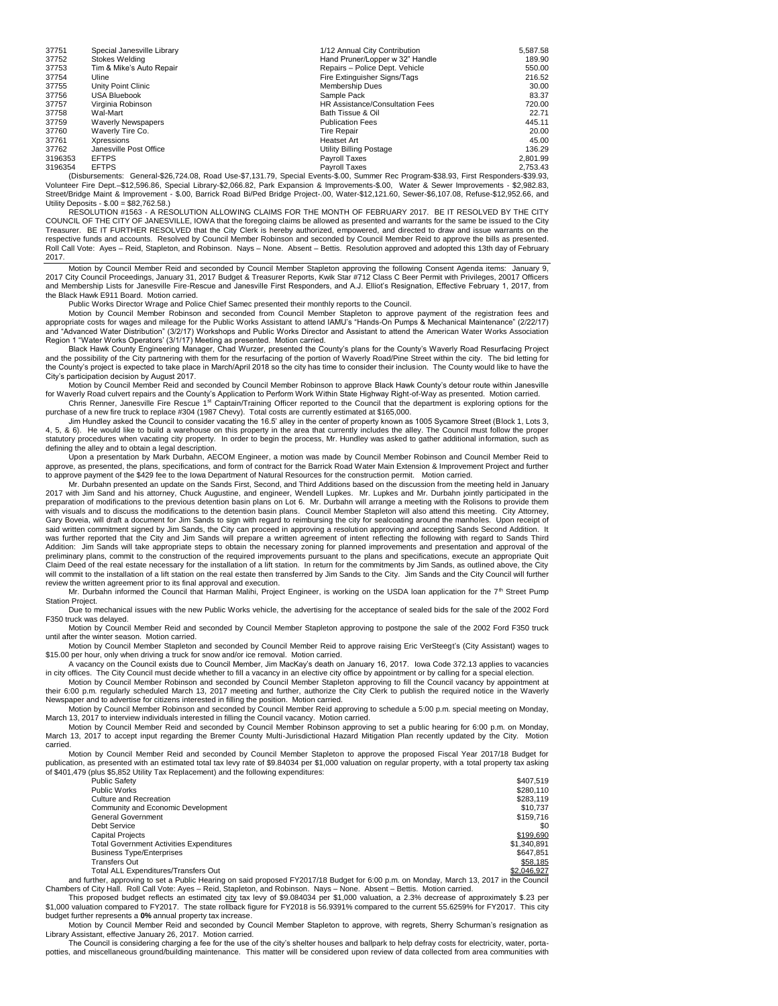| 37751   | Special Janesville Library | 1/12 Annual City Contribution   | 5,587.58 |
|---------|----------------------------|---------------------------------|----------|
| 37752   | Stokes Welding             | Hand Pruner/Lopper w 32" Handle | 189.90   |
| 37753   | Tim & Mike's Auto Repair   | Repairs - Police Dept. Vehicle  | 550.00   |
| 37754   | Uline                      | Fire Extinguisher Signs/Tags    | 216.52   |
| 37755   | Unity Point Clinic         | Membership Dues                 | 30.00    |
| 37756   | <b>USA Bluebook</b>        | Sample Pack                     | 83.37    |
| 37757   | Virginia Robinson          | HR Assistance/Consultation Fees | 720.00   |
| 37758   | Wal-Mart                   | Bath Tissue & Oil               | 22.71    |
| 37759   | <b>Waverly Newspapers</b>  | <b>Publication Fees</b>         | 445.11   |
| 37760   | Waverly Tire Co.           | <b>Tire Repair</b>              | 20.00    |
| 37761   | Xpressions                 | Heatset Art                     | 45.00    |
| 37762   | Janesville Post Office     | Utility Billing Postage         | 136.29   |
| 3196353 | <b>EFTPS</b>               | Payroll Taxes                   | 2.801.99 |
| 3196354 | <b>EFTPS</b>               | Payroll Taxes                   | 2.753.43 |
|         | $\cdots$                   | ------                          |          |

2,753.43 EFTPS<br>Diplus Payroll Taxes Program-\$38.93, First Responders: General-\$26,724.08, Road Use-\$7,131.79, Special Events<br>Volunteer Fire Dept.–\$12,596.86, Special Library-\$2,066.82, Park Expansion & Improvements-\$.00, Street/Bridge Maint & Improvement - \$.00, Barrick Road Bi/Ped Bridge Project-.00, Water-\$12,121.60, Sewer-\$6,107.08, Refuse-\$12,952.66, and Utility Deposits - \$.00 = \$82,762.58.)

RESOLUTION #1563 - A RESOLUTION ALLOWING CLAIMS FOR THE MONTH OF FEBRUARY 2017. BE IT RESOLVED BY THE CITY COUNCIL OF THE CITY OF JANESVILLE, IOWA that the foregoing claims be allowed as presented and warrants for the same be issued to the City Treasurer. BE IT FURTHER RESOLVED that the City Clerk is hereby authorized, empowered, and directed to draw and issue warrants on the<br>respective funds and accounts. Resolved by Council Member Robinson and seconded by Counc Roll Call Vote: Ayes – Reid, Stapleton, and Robinson. Nays – None. Absent – Bettis. Resolution approved and adopted this 13th day of February 2017.

Motion by Council Member Reid and seconded by Council Member Stapleton approving the following Consent Agenda items: January 9, 2017 City Council Proceedings, January 31, 2017 Budget & Treasurer Reports, Kwik Star #712 Class C Beer Permit with Privileges, 20017 Officers and Membership Lists for Janesville Fire-Rescue and Janesville First Responders, and A.J. Elliot's Resignation, Effective February 1, 2017, from the Black Hawk E911 Board. Motion carried.

Public Works Director Wrage and Police Chief Samec presented their monthly reports to the Council.

Motion by Council Member Robinson and seconded from Council Member Stapleton to approve payment of the registration fees and<br>appropriate costs for wages and mileage for the Public Works Assistant to attend IAMU's "Hands-On and "Advanced Water Distribution" (3/2/17) Workshops and Public Works Director and Assistant to attend the American Water Works Association Region 1 "Water Works Operators' (3/1/17) Meeting as presented. Motion carried.

Black Hawk County Engineering Manager, Chad Wurzer, presented the County's plans for the County's Waverly Road Resurfacing Project and the possibility of the City partnering with them for the resurfacing of the portion of Waverly Road/Pine Street within the city. The bid letting for the County's project is expected to take place in March/April 2018 so the city has time to consider their inclusion. The County would like to have the City's participation decision by August 2017.

Motion by Council Member Reid and seconded by Council Member Robinson to approve Black Hawk County's detour route within Janesville for Waverly Road culvert repairs and the County's Application to Perform Work Within State Highway Right-of-Way as presented. Motion carried.<br>Chris Renner, Janesville Fire Rescue 1<sup>st</sup> Captain/Training Officer reported to

purchase of a new fire truck to replace #304 (1987 Chevy). Total costs are currently estimated at \$165,000.

Jim Hundley asked the Council to consider vacating the 16.5' alley in the center of property known as 1005 Sycamore Street (Block 1, Lots 3, 4, 5, & 6). He would like to build a warehouse on this property in the area that currently includes the alley. The Council must follow the proper statutory procedures when vacating city property. In order to begin the process, Mr. Hundley was asked to gather additional information, such as defining the alley and to obtain a legal description.

Upon a presentation by Mark Durbahn, AECOM Engineer, a motion was made by Council Member Robinson and Council Member Reid to approve, as presented, the plans, specifications, and form of contract for the Barrick Road Water Main Extension & Improvement Project and further to approve payment of the \$429 fee to the Iowa Department of Natural Resources for the construction permit. Motion carried.

Mr. Durbahn presented an update on the Sands First, Second, and Third Additions based on the discussion from the meeting held in January 2017 with Jim Sand and his attorney, Chuck Augustine, and engineer, Wendell Lupkes. Mr. Lupkes and Mr. Durbahn jointly participated in the preparation of modifications to the previous detention basin plans on Lot 6. Mr. Durbahn will arrange a meeting with the Rolisons to provide them<br>with visuals and to discuss the modifications to the detention basin plans. Gary Boveia, will draft a document for Jim Sands to sign with regard to reimbursing the city for sealcoating around the manholes. Upon receipt of said written commitment signed by Jim Sands, the City can proceed in approving a resolution approving and accepting Sands Second Addition. It was further reported that the City and Jim Sands will prepare a written agreement of intent reflecting the following with regard to Sands Third<br>Addition: Jim Sands will take appropriate steps to obtain the necessary zoning preliminary plans, commit to the construction of the required improvements pursuant to the plans and specifications, execute an appropriate Quit Claim Deed of the real estate necessary for the installation of a lift station. In return for the commitments by Jim Sands, as outlined above, the City will commit to the installation of a lift station on the real estate then transferred by Jim Sands to the City. Jim Sands and the City Council will further review the written agreement prior to its final approval and execution.

Mr. Durbahn informed the Council that Harman Malihi, Project Engineer, is working on the USDA loan application for the 7<sup>th</sup> Street Pump Station Project.

Due to mechanical issues with the new Public Works vehicle, the advertising for the acceptance of sealed bids for the sale of the 2002 Ford F350 truck was delayed.

Motion by Council Member Reid and seconded by Council Member Stapleton approving to postpone the sale of the 2002 Ford F350 truck until after the winter season. Motion carried.

Motion by Council Member Stapleton and seconded by Council Member Reid to approve raising Eric VerSteegt's (City Assistant) wages to \$15.00 per hour, only when driving a truck for snow and/or ice removal. Motion carried.

A vacancy on the Council exists due to Council Member, Jim MacKay's death on January 16, 2017. Iowa Code 372.13 applies to vacancies in city offices. The City Council must decide whether to fill a vacancy in an elective city office by appointment or by calling for a special election.

Motion by Council Member Robinson and seconded by Council Member Stapleton approving to fill the Council vacancy by appointment at their 6:00 p.m. regularly scheduled March 13, 2017 meeting and further, authorize the City Clerk to publish the required notice in the Waverly Newspaper and to advertise for citizens interested in filling the position. Motion carried.

Motion by Council Member Robinson and seconded by Council Member Reid approving to schedule a 5:00 p.m. special meeting on Monday, March 13, 2017 to interview individuals interested in filling the Council vacancy. Motion carried.

Motion by Council Member Reid and seconded by Council Member Robinson approving to set a public hearing for 6:00 p.m. on Monday, March 13, 2017 to accept input regarding the Bremer County Multi-Jurisdictional Hazard Mitigation Plan recently updated by the City. Motion carried.

Motion by Council Member Reid and seconded by Council Member Stapleton to approve the proposed Fiscal Year 2017/18 Budget for publication, as presented with an estimated total tax levy rate of \$9.84034 per \$1,000 valuation on regular property, with a total property tax asking<br>of \$401,479 (plus \$5,852 Utility Tax Replacement) and the following exp

| <b>Public Safety</b>                            | \$407.519   |
|-------------------------------------------------|-------------|
| Public Works                                    | \$280.110   |
| Culture and Recreation                          | \$283.119   |
| Community and Economic Development              | \$10.737    |
| General Government                              | \$159.716   |
| Debt Service                                    | \$0         |
| <b>Capital Projects</b>                         | \$199,690   |
| <b>Total Government Activities Expenditures</b> | \$1,340,891 |
| <b>Business Type/Enterprises</b>                | \$647.851   |
| Transfers Out                                   | \$58,185    |
| Total ALL Expenditures/Transfers Out            | \$2.046.927 |
|                                                 |             |

Total ALL Expenditures/Transfers Out<br>and further, approving to set a Public Hearing on said proposed FY2017/18 Budget for 6:00 p.m. on Monday, March 13, 2017 in the Council<br>Chambers of City Hall. Roll Call Vote: Ayes – Re

This proposed budget reflects an estimated city tax levy of \$9.084034 per \$1,000 valuation, a 2.3% decrease of approximately \$.23 per \$1,000 valuation compared to FY2017. The state rollback figure for FY2018 is 56.9391% compared to the current 55.6259% for FY2017. This city budget further represents a **0%** annual property tax increase.

Motion by Council Member Reid and seconded by Council Member Stapleton to approve, with regrets, Sherry Schurman's resignation as Library Assistant, effective January 26, 2017. Motion carried.

The Council is considering charging a fee for the use of the city's shelter houses and ballpark to help defray costs for electricity, water, portapotties, and miscellaneous ground/building maintenance. This matter will be considered upon review of data collected from area communities